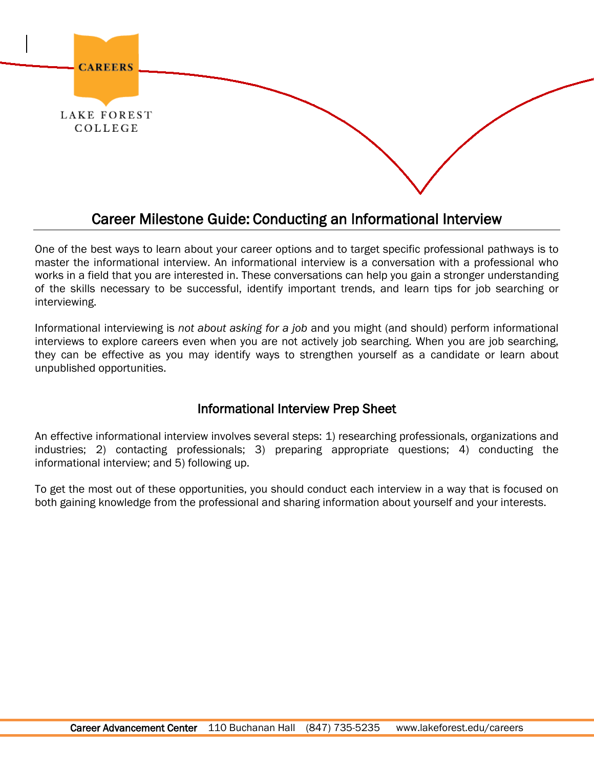

# Career Milestone Guide: Conducting an Informational Interview

One of the best ways to learn about your career options and to target specific professional pathways is to master the informational interview. An informational interview is a conversation with a professional who works in a field that you are interested in. These conversations can help you gain a stronger understanding of the skills necessary to be successful, identify important trends, and learn tips for job searching or interviewing.

Informational interviewing is *not about asking for a job* and you might (and should) perform informational interviews to explore careers even when you are not actively job searching. When you are job searching, they can be effective as you may identify ways to strengthen yourself as a candidate or learn about unpublished opportunities.

## Informational Interview Prep Sheet

An effective informational interview involves several steps: 1) researching professionals, organizations and industries; 2) contacting professionals; 3) preparing appropriate questions; 4) conducting the informational interview; and 5) following up.

To get the most out of these opportunities, you should conduct each interview in a way that is focused on both gaining knowledge from the professional and sharing information about yourself and your interests.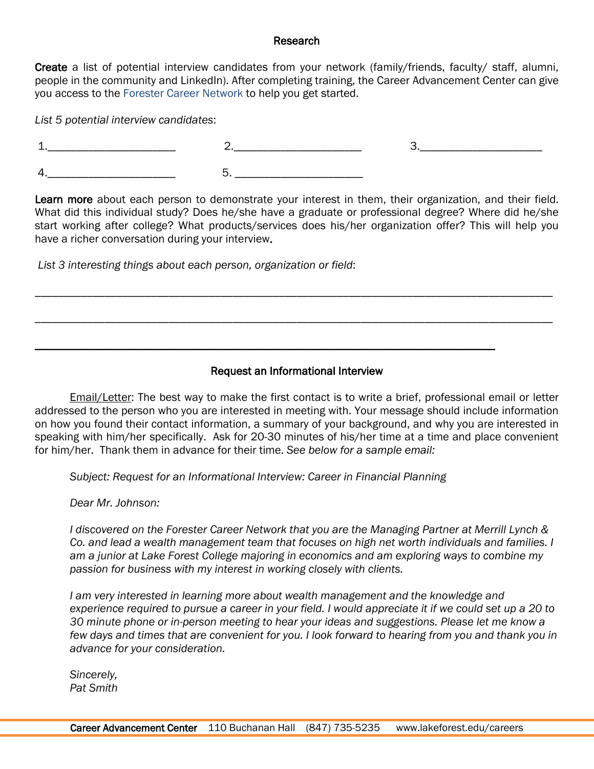#### Research

Create a list of potential interview candidates from your network (family/friends, faculty/ staff, alumni, people in the community and LinkedIn). After completing training, the Career Advancement Center can give you access to the [Forester Career Network](http://lakeforest.edu/careers/networking.php) to help you get started.

*List 5 potential interview candidates*:

Learn more about each person to demonstrate your interest in them, their organization, and their field. What did this individual study? Does he/she have a graduate or professional degree? Where did he/she start working after college? What products/services does his/her organization offer? This will help you have a richer conversation during your interview.

*List 3 interesting things about each person, organization or field*:

## Request an Informational Interview

\_\_\_\_\_\_\_\_\_\_\_\_\_\_\_\_\_\_\_\_\_\_\_\_\_\_\_\_\_\_\_\_\_\_\_\_\_\_\_\_\_\_\_\_\_\_\_\_\_\_\_\_\_\_\_\_\_\_\_\_\_\_\_\_\_\_\_\_\_\_\_\_\_\_\_\_\_\_\_\_\_\_\_\_\_\_\_\_\_

\_\_\_\_\_\_\_\_\_\_\_\_\_\_\_\_\_\_\_\_\_\_\_\_\_\_\_\_\_\_\_\_\_\_\_\_\_\_\_\_\_\_\_\_\_\_\_\_\_\_\_\_\_\_\_\_\_\_\_\_\_\_\_\_\_\_\_\_\_\_\_\_\_\_\_\_\_\_\_\_\_\_\_\_\_\_\_\_\_

\_\_\_\_\_\_\_\_\_\_\_\_\_\_\_\_\_\_\_\_\_\_\_\_\_\_\_\_\_\_\_\_\_\_\_\_\_\_\_\_\_\_\_\_\_\_\_\_\_\_\_\_\_\_\_\_\_\_\_\_\_\_\_\_\_\_\_\_\_\_\_\_\_\_\_\_\_\_\_

Email/Letter: The best way to make the first contact is to write a brief, professional email or letter addressed to the person who you are interested in meeting with. Your message should include information on how you found their contact information, a summary of your background, and why you are interested in speaking with him/her specifically. Ask for 20-30 minutes of his/her time at a time and place convenient for him/her. Thank them in advance for their time. *See below for a sample email:*

*Subject: Request for an Informational Interview: Career in Financial Planning*

*Dear Mr. Johnson:*

*I discovered on the Forester Career Network that you are the Managing Partner at Merrill Lynch & Co. and lead a wealth management team that focuses on high net worth individuals and families. I am a junior at Lake Forest College majoring in economics and am exploring ways to combine my passion for business with my interest in working closely with clients.*

*I am very interested in learning more about wealth management and the knowledge and experience required to pursue a career in your field. I would appreciate it if we could set up a 20 to 30 minute phone or in-person meeting to hear your ideas and suggestions. Please let me know a few days and times that are convenient for you. I look forward to hearing from you and thank you in advance for your consideration.*

*Sincerely, Pat Smith*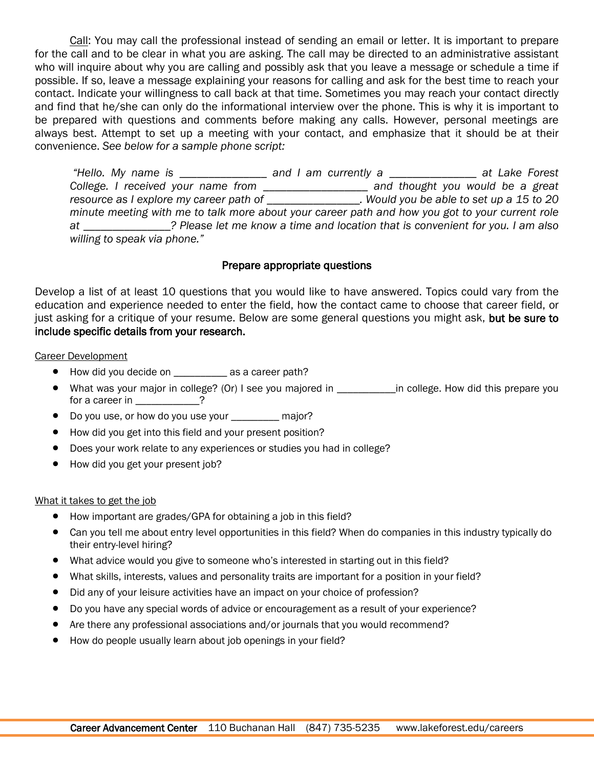Call: You may call the professional instead of sending an email or letter. It is important to prepare for the call and to be clear in what you are asking. The call may be directed to an administrative assistant who will inquire about why you are calling and possibly ask that you leave a message or schedule a time if possible. If so, leave a message explaining your reasons for calling and ask for the best time to reach your contact. Indicate your willingness to call back at that time. Sometimes you may reach your contact directly and find that he/she can only do the informational interview over the phone. This is why it is important to be prepared with questions and comments before making any calls. However, personal meetings are always best. Attempt to set up a meeting with your contact, and emphasize that it should be at their convenience. *See below for a sample phone script:*

*"Hello. My name is \_\_\_\_\_\_\_\_\_\_\_\_\_\_\_ and I am currently a \_\_\_\_\_\_\_\_\_\_\_\_\_\_\_ at Lake Forest College. I received your name from \_\_\_\_\_\_\_\_\_\_\_\_\_\_\_\_\_\_ and thought you would be a great resource as I explore my career path of \_\_\_\_\_\_\_\_\_\_\_\_\_\_\_\_. Would you be able to set up a 15 to 20 minute meeting with me to talk more about your career path and how you got to your current role at \_\_\_\_\_\_\_\_\_\_\_\_\_\_\_? Please let me know a time and location that is convenient for you. I am also willing to speak via phone."*

### Prepare appropriate questions

Develop a list of at least 10 questions that you would like to have answered. Topics could vary from the education and experience needed to enter the field, how the contact came to choose that career field, or just asking for a critique of your resume. Below are some general questions you might ask, but be sure to include specific details from your research.

#### Career Development

- How did you decide on \_\_\_\_\_\_\_\_\_\_ as a career path?
- What was your major in college? (Or) I see you majored in \_\_\_\_\_\_\_\_\_\_\_in college. How did this prepare you for a career in \_\_\_\_\_\_\_\_\_\_\_?
- Do you use, or how do you use your \_\_\_\_\_\_\_\_\_ major?
- How did you get into this field and your present position?
- Does your work relate to any experiences or studies you had in college?
- How did you get your present job?

#### What it takes to get the job

- How important are grades/GPA for obtaining a job in this field?
- Can you tell me about entry level opportunities in this field? When do companies in this industry typically do their entry-level hiring?
- What advice would you give to someone who's interested in starting out in this field?
- What skills, interests, values and personality traits are important for a position in your field?
- Did any of your leisure activities have an impact on your choice of profession?
- Do you have any special words of advice or encouragement as a result of your experience?
- Are there any professional associations and/or journals that you would recommend?
- How do people usually learn about job openings in your field?